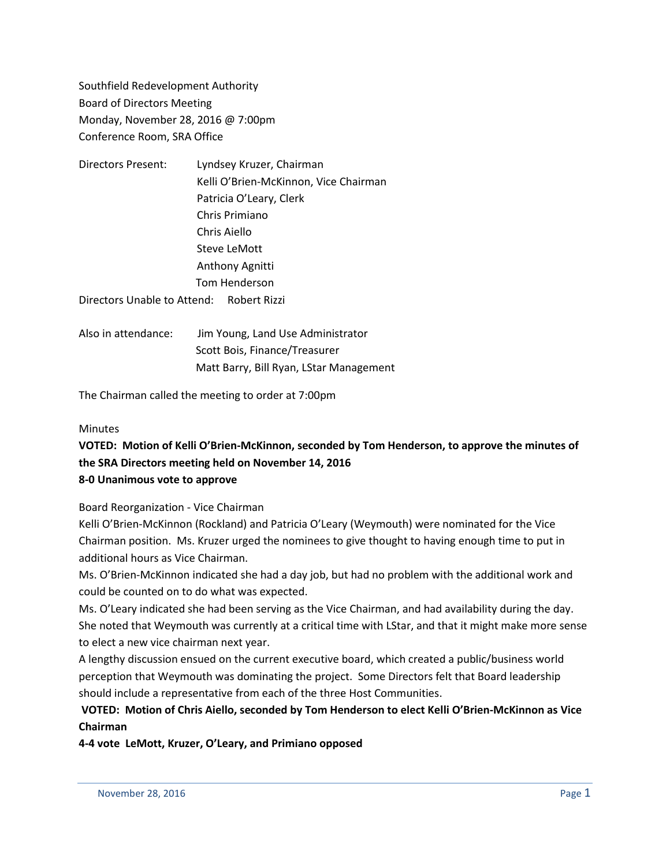Southfield Redevelopment Authority Board of Directors Meeting Monday, November 28, 2016 @ 7:00pm Conference Room, SRA Office

- Directors Present: Lyndsey Kruzer, Chairman Kelli O'Brien-McKinnon, Vice Chairman Patricia O'Leary, Clerk Chris Primiano Chris Aiello Steve LeMott Anthony Agnitti Tom Henderson Directors Unable to Attend: Robert Rizzi
- Also in attendance: Jim Young, Land Use Administrator Scott Bois, Finance/Treasurer Matt Barry, Bill Ryan, LStar Management

The Chairman called the meeting to order at 7:00pm

### **Minutes**

# **VOTED: Motion of Kelli O'Brien-McKinnon, seconded by Tom Henderson, to approve the minutes of the SRA Directors meeting held on November 14, 2016 8-0 Unanimous vote to approve**

Board Reorganization - Vice Chairman

Kelli O'Brien-McKinnon (Rockland) and Patricia O'Leary (Weymouth) were nominated for the Vice Chairman position. Ms. Kruzer urged the nominees to give thought to having enough time to put in additional hours as Vice Chairman.

Ms. O'Brien-McKinnon indicated she had a day job, but had no problem with the additional work and could be counted on to do what was expected.

Ms. O'Leary indicated she had been serving as the Vice Chairman, and had availability during the day. She noted that Weymouth was currently at a critical time with LStar, and that it might make more sense to elect a new vice chairman next year.

A lengthy discussion ensued on the current executive board, which created a public/business world perception that Weymouth was dominating the project. Some Directors felt that Board leadership should include a representative from each of the three Host Communities.

## **VOTED: Motion of Chris Aiello, seconded by Tom Henderson to elect Kelli O'Brien-McKinnon as Vice Chairman**

**4-4 vote LeMott, Kruzer, O'Leary, and Primiano opposed**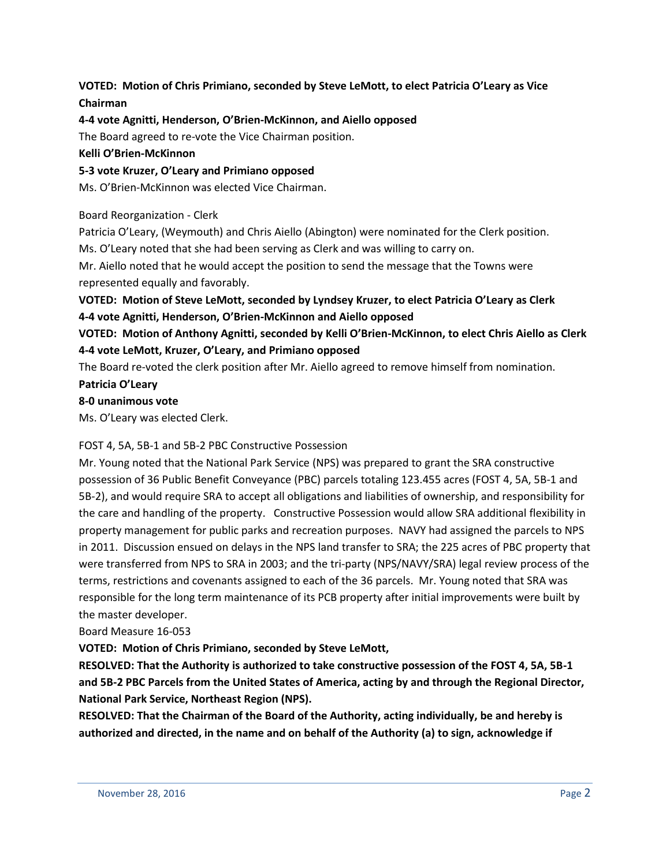## **VOTED: Motion of Chris Primiano, seconded by Steve LeMott, to elect Patricia O'Leary as Vice Chairman**

### **4-4 vote Agnitti, Henderson, O'Brien-McKinnon, and Aiello opposed**

The Board agreed to re-vote the Vice Chairman position.

### **Kelli O'Brien-McKinnon**

**5-3 vote Kruzer, O'Leary and Primiano opposed**

Ms. O'Brien-McKinnon was elected Vice Chairman.

### Board Reorganization - Clerk

Patricia O'Leary, (Weymouth) and Chris Aiello (Abington) were nominated for the Clerk position.

Ms. O'Leary noted that she had been serving as Clerk and was willing to carry on.

Mr. Aiello noted that he would accept the position to send the message that the Towns were represented equally and favorably.

# **VOTED: Motion of Steve LeMott, seconded by Lyndsey Kruzer, to elect Patricia O'Leary as Clerk 4-4 vote Agnitti, Henderson, O'Brien-McKinnon and Aiello opposed**

## **VOTED: Motion of Anthony Agnitti, seconded by Kelli O'Brien-McKinnon, to elect Chris Aiello as Clerk 4-4 vote LeMott, Kruzer, O'Leary, and Primiano opposed**

The Board re-voted the clerk position after Mr. Aiello agreed to remove himself from nomination. **Patricia O'Leary**

### **8-0 unanimous vote**

Ms. O'Leary was elected Clerk.

### FOST 4, 5A, 5B-1 and 5B-2 PBC Constructive Possession

Mr. Young noted that the National Park Service (NPS) was prepared to grant the SRA constructive possession of 36 Public Benefit Conveyance (PBC) parcels totaling 123.455 acres (FOST 4, 5A, 5B-1 and 5B-2), and would require SRA to accept all obligations and liabilities of ownership, and responsibility for the care and handling of the property. Constructive Possession would allow SRA additional flexibility in property management for public parks and recreation purposes. NAVY had assigned the parcels to NPS in 2011. Discussion ensued on delays in the NPS land transfer to SRA; the 225 acres of PBC property that were transferred from NPS to SRA in 2003; and the tri-party (NPS/NAVY/SRA) legal review process of the terms, restrictions and covenants assigned to each of the 36 parcels. Mr. Young noted that SRA was responsible for the long term maintenance of its PCB property after initial improvements were built by the master developer.

### Board Measure 16-053

**VOTED: Motion of Chris Primiano, seconded by Steve LeMott,** 

**RESOLVED: That the Authority is authorized to take constructive possession of the FOST 4, 5A, 5B-1 and 5B-2 PBC Parcels from the United States of America, acting by and through the Regional Director, National Park Service, Northeast Region (NPS).**

**RESOLVED: That the Chairman of the Board of the Authority, acting individually, be and hereby is authorized and directed, in the name and on behalf of the Authority (a) to sign, acknowledge if**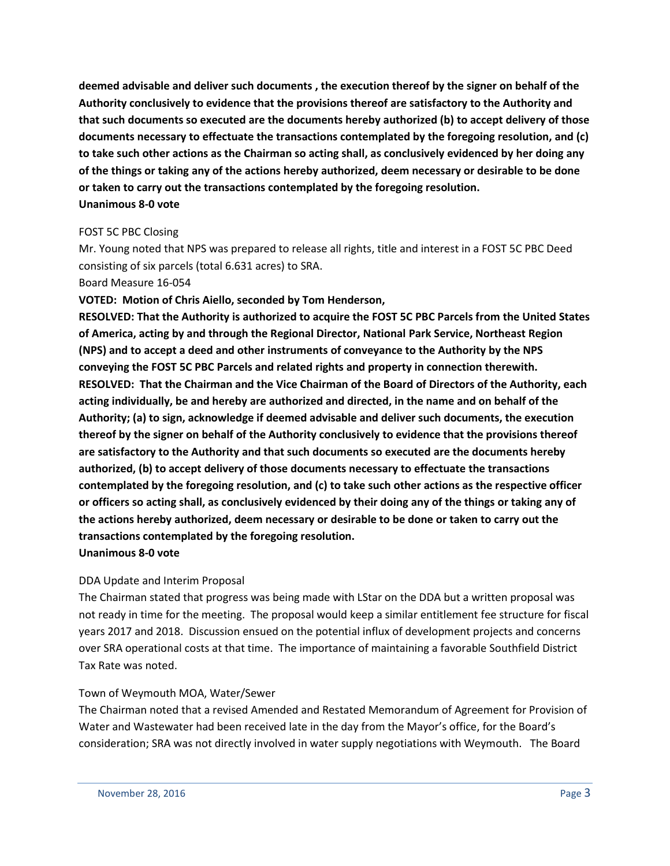**deemed advisable and deliver such documents , the execution thereof by the signer on behalf of the Authority conclusively to evidence that the provisions thereof are satisfactory to the Authority and that such documents so executed are the documents hereby authorized (b) to accept delivery of those documents necessary to effectuate the transactions contemplated by the foregoing resolution, and (c) to take such other actions as the Chairman so acting shall, as conclusively evidenced by her doing any of the things or taking any of the actions hereby authorized, deem necessary or desirable to be done or taken to carry out the transactions contemplated by the foregoing resolution. Unanimous 8-0 vote**

#### FOST 5C PBC Closing

Mr. Young noted that NPS was prepared to release all rights, title and interest in a FOST 5C PBC Deed consisting of six parcels (total 6.631 acres) to SRA.

#### Board Measure 16-054

**VOTED: Motion of Chris Aiello, seconded by Tom Henderson,**

**RESOLVED: That the Authority is authorized to acquire the FOST 5C PBC Parcels from the United States of America, acting by and through the Regional Director, National Park Service, Northeast Region (NPS) and to accept a deed and other instruments of conveyance to the Authority by the NPS conveying the FOST 5C PBC Parcels and related rights and property in connection therewith. RESOLVED: That the Chairman and the Vice Chairman of the Board of Directors of the Authority, each acting individually, be and hereby are authorized and directed, in the name and on behalf of the Authority; (a) to sign, acknowledge if deemed advisable and deliver such documents, the execution thereof by the signer on behalf of the Authority conclusively to evidence that the provisions thereof are satisfactory to the Authority and that such documents so executed are the documents hereby authorized, (b) to accept delivery of those documents necessary to effectuate the transactions contemplated by the foregoing resolution, and (c) to take such other actions as the respective officer or officers so acting shall, as conclusively evidenced by their doing any of the things or taking any of the actions hereby authorized, deem necessary or desirable to be done or taken to carry out the transactions contemplated by the foregoing resolution.**

**Unanimous 8-0 vote**

### DDA Update and Interim Proposal

The Chairman stated that progress was being made with LStar on the DDA but a written proposal was not ready in time for the meeting. The proposal would keep a similar entitlement fee structure for fiscal years 2017 and 2018. Discussion ensued on the potential influx of development projects and concerns over SRA operational costs at that time. The importance of maintaining a favorable Southfield District Tax Rate was noted.

### Town of Weymouth MOA, Water/Sewer

The Chairman noted that a revised Amended and Restated Memorandum of Agreement for Provision of Water and Wastewater had been received late in the day from the Mayor's office, for the Board's consideration; SRA was not directly involved in water supply negotiations with Weymouth. The Board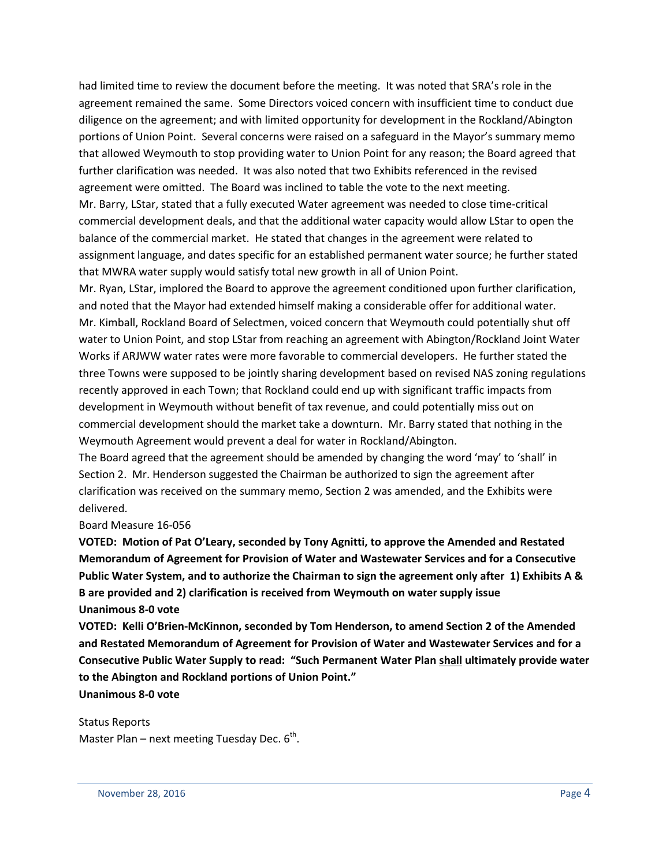had limited time to review the document before the meeting. It was noted that SRA's role in the agreement remained the same. Some Directors voiced concern with insufficient time to conduct due diligence on the agreement; and with limited opportunity for development in the Rockland/Abington portions of Union Point. Several concerns were raised on a safeguard in the Mayor's summary memo that allowed Weymouth to stop providing water to Union Point for any reason; the Board agreed that further clarification was needed. It was also noted that two Exhibits referenced in the revised agreement were omitted. The Board was inclined to table the vote to the next meeting. Mr. Barry, LStar, stated that a fully executed Water agreement was needed to close time-critical commercial development deals, and that the additional water capacity would allow LStar to open the balance of the commercial market. He stated that changes in the agreement were related to assignment language, and dates specific for an established permanent water source; he further stated that MWRA water supply would satisfy total new growth in all of Union Point.

Mr. Ryan, LStar, implored the Board to approve the agreement conditioned upon further clarification, and noted that the Mayor had extended himself making a considerable offer for additional water. Mr. Kimball, Rockland Board of Selectmen, voiced concern that Weymouth could potentially shut off water to Union Point, and stop LStar from reaching an agreement with Abington/Rockland Joint Water Works if ARJWW water rates were more favorable to commercial developers. He further stated the three Towns were supposed to be jointly sharing development based on revised NAS zoning regulations recently approved in each Town; that Rockland could end up with significant traffic impacts from development in Weymouth without benefit of tax revenue, and could potentially miss out on commercial development should the market take a downturn. Mr. Barry stated that nothing in the Weymouth Agreement would prevent a deal for water in Rockland/Abington.

The Board agreed that the agreement should be amended by changing the word 'may' to 'shall' in Section 2. Mr. Henderson suggested the Chairman be authorized to sign the agreement after clarification was received on the summary memo, Section 2 was amended, and the Exhibits were delivered.

#### Board Measure 16-056

**VOTED: Motion of Pat O'Leary, seconded by Tony Agnitti, to approve the Amended and Restated Memorandum of Agreement for Provision of Water and Wastewater Services and for a Consecutive Public Water System, and to authorize the Chairman to sign the agreement only after 1) Exhibits A & B are provided and 2) clarification is received from Weymouth on water supply issue Unanimous 8-0 vote**

**VOTED: Kelli O'Brien-McKinnon, seconded by Tom Henderson, to amend Section 2 of the Amended and Restated Memorandum of Agreement for Provision of Water and Wastewater Services and for a Consecutive Public Water Supply to read: "Such Permanent Water Plan shall ultimately provide water to the Abington and Rockland portions of Union Point." Unanimous 8-0 vote**

Status Reports

Master Plan – next meeting Tuesday Dec.  $6<sup>th</sup>$ .